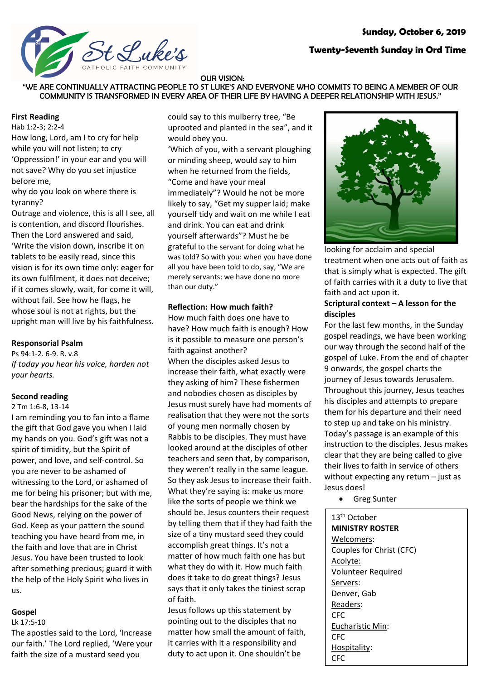

# **Twenty-Seventh Sunday in Ord Time**

#### OUR VISION:

"WE ARE CONTINUALLY ATTRACTING PEOPLE TO ST LUKE'S AND EVERYONE WHO COMMITS TO BEING A MEMBER OF OUR COMMUNITY IS TRANSFORMED IN EVERY AREA OF THEIR LIFE BY HAVING A DEEPER RELATIONSHIP WITH JESUS."

## **First Reading**

Hab 1:2-3; 2:2-4

How long, Lord, am I to cry for help while you will not listen; to cry 'Oppression!' in your ear and you will not save? Why do you set injustice before me,

why do you look on where there is tyranny?

Outrage and violence, this is all I see, all is contention, and discord flourishes. Then the Lord answered and said, 'Write the vision down, inscribe it on tablets to be easily read, since this vision is for its own time only: eager for its own fulfilment, it does not deceive; if it comes slowly, wait, for come it will, without fail. See how he flags, he whose soul is not at rights, but the upright man will live by his faithfulness.

# **Responsorial Psalm**

Ps 94:1-2. 6-9. R. v.8 *If today you hear his voice, harden not your hearts.*

# **Second reading**

2 Tm 1:6-8, 13-14

I am reminding you to fan into a flame the gift that God gave you when I laid my hands on you. God's gift was not a spirit of timidity, but the Spirit of power, and love, and self-control. So you are never to be ashamed of witnessing to the Lord, or ashamed of me for being his prisoner; but with me, bear the hardships for the sake of the Good News, relying on the power of God. Keep as your pattern the sound teaching you have heard from me, in the faith and love that are in Christ Jesus. You have been trusted to look after something precious; guard it with the help of the Holy Spirit who lives in us.

# **Gospel**

#### Lk 17:5-10

The apostles said to the Lord, 'Increase our faith.' The Lord replied, 'Were your faith the size of a mustard seed you

could say to this mulberry tree, "Be uprooted and planted in the sea", and it would obey you.

'Which of you, with a servant ploughing or minding sheep, would say to him when he returned from the fields, "Come and have your meal immediately"? Would he not be more likely to say, "Get my supper laid; make yourself tidy and wait on me while I eat and drink. You can eat and drink yourself afterwards"? Must he be grateful to the servant for doing what he was told? So with you: when you have done all you have been told to do, say, "We are merely servants: we have done no more than our duty."

# **Reflection: How much faith?**

How much faith does one have to have? How much faith is enough? How is it possible to measure one person's faith against another? When the disciples asked Jesus to increase their faith, what exactly were they asking of him? These fishermen and nobodies chosen as disciples by Jesus must surely have had moments of realisation that they were not the sorts of young men normally chosen by Rabbis to be disciples. They must have looked around at the disciples of other teachers and seen that, by comparison, they weren't really in the same league. So they ask Jesus to increase their faith. What they're saying is: make us more like the sorts of people we think we should be. Jesus counters their request by telling them that if they had faith the size of a tiny mustard seed they could accomplish great things. It's not a matter of how much faith one has but what they do with it. How much faith does it take to do great things? Jesus says that it only takes the tiniest scrap of faith.

Jesus follows up this statement by pointing out to the disciples that no matter how small the amount of faith, it carries with it a responsibility and duty to act upon it. One shouldn't be



looking for acclaim and special treatment when one acts out of faith as that is simply what is expected. The gift of faith carries with it a duty to live that faith and act upon it.

# **Scriptural context – A lesson for the disciples**

For the last few months, in the Sunday gospel readings, we have been working our way through the second half of the gospel of Luke. From the end of chapter 9 onwards, the gospel charts the journey of Jesus towards Jerusalem. Throughout this journey, Jesus teaches his disciples and attempts to prepare them for his departure and their need to step up and take on his ministry. Today's passage is an example of this instruction to the disciples. Jesus makes clear that they are being called to give their lives to faith in service of others without expecting any return – just as Jesus does!

**•** Greg Sunter

13th October **MINISTRY ROSTER** Welcomers: Couples for Christ (CFC) Acolyte: Volunteer Required Servers: Denver, Gab Readers: CFC Eucharistic Min: CFC Hospitality: CFC